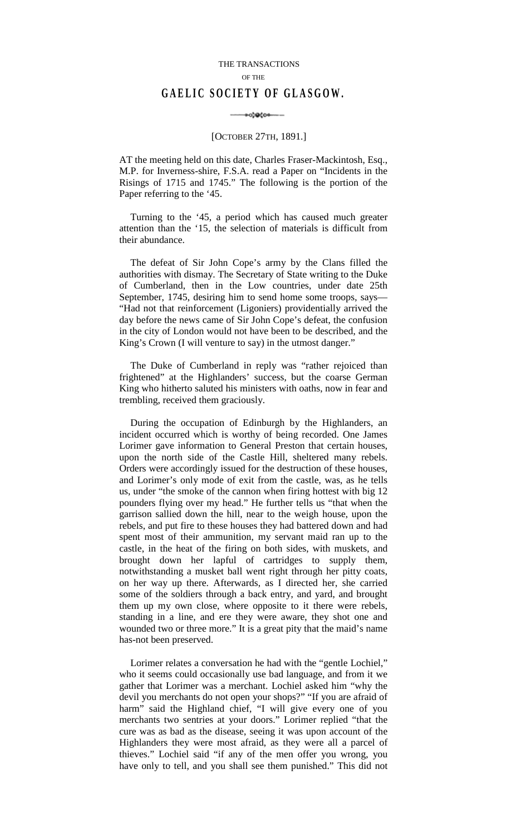## THE TRANSACTIONS OF THE **GAELIC SOCIETY OF GLASGOW.**

## -00-00000-

## [OCTOBER 27TH, 1891.]

AT the meeting held on this date, Charles Fraser-Mackintosh, Esq., M.P. for Inverness-shire, F.S.A. read a Paper on "Incidents in the Risings of 1715 and 1745." The following is the portion of the Paper referring to the '45.

Turning to the '45, a period which has caused much greater attention than the '15, the selection of materials is difficult from their abundance.

The defeat of Sir John Cope's army by the Clans filled the authorities with dismay. The Secretary of State writing to the Duke of Cumberland, then in the Low countries, under date 25th September, 1745, desiring him to send home some troops, says— "Had not that reinforcement (Ligoniers) providentially arrived the day before the news came of Sir John Cope's defeat, the confusion in the city of London would not have been to be described, and the King's Crown (I will venture to say) in the utmost danger."

The Duke of Cumberland in reply was "rather rejoiced than frightened" at the Highlanders' success, but the coarse German King who hitherto saluted his ministers with oaths, now in fear and trembling, received them graciously.

During the occupation of Edinburgh by the Highlanders, an incident occurred which is worthy of being recorded. One James Lorimer gave information to General Preston that certain houses, upon the north side of the Castle Hill, sheltered many rebels. Orders were accordingly issued for the destruction of these houses, and Lorimer's only mode of exit from the castle, was, as he tells us, under "the smoke of the cannon when firing hottest with big 12 pounders flying over my head." He further tells us "that when the garrison sallied down the hill, near to the weigh house, upon the rebels, and put fire to these houses they had battered down and had spent most of their ammunition, my servant maid ran up to the castle, in the heat of the firing on both sides, with muskets, and brought down her lapful of cartridges to supply them, notwithstanding a musket ball went right through her pitty coats, on her way up there. Afterwards, as I directed her, she carried some of the soldiers through a back entry, and yard, and brought them up my own close, where opposite to it there were rebels, standing in a line, and ere they were aware, they shot one and wounded two or three more." It is a great pity that the maid's name has-not been preserved.

Lorimer relates a conversation he had with the "gentle Lochiel," who it seems could occasionally use bad language, and from it we gather that Lorimer was a merchant. Lochiel asked him "why the devil you merchants do not open your shops?" "If you are afraid of harm" said the Highland chief, "I will give every one of you merchants two sentries at your doors." Lorimer replied "that the cure was as bad as the disease, seeing it was upon account of the Highlanders they were most afraid, as they were all a parcel of thieves." Lochiel said "if any of the men offer you wrong, you have only to tell, and you shall see them punished." This did not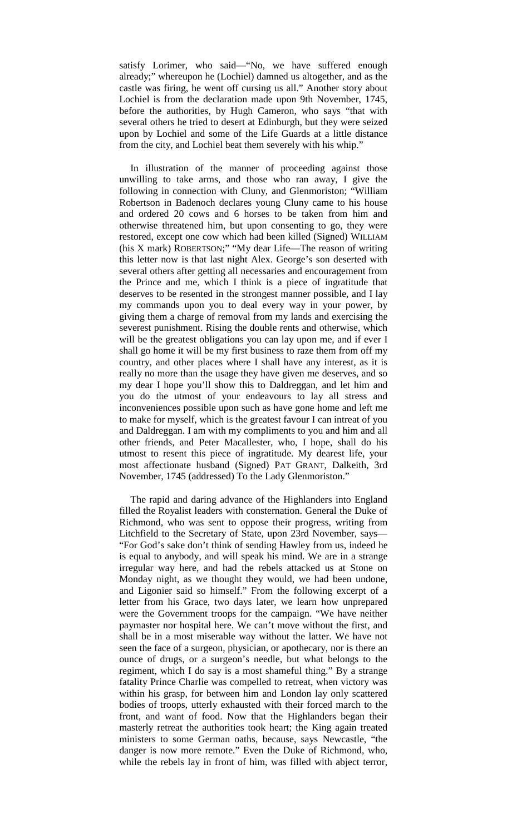satisfy Lorimer, who said—"No, we have suffered enough already;" whereupon he (Lochiel) damned us altogether, and as the castle was firing, he went off cursing us all." Another story about Lochiel is from the declaration made upon 9th November, 1745, before the authorities, by Hugh Cameron, who says "that with several others he tried to desert at Edinburgh, but they were seized upon by Lochiel and some of the Life Guards at a little distance from the city, and Lochiel beat them severely with his whip."

In illustration of the manner of proceeding against those unwilling to take arms, and those who ran away, I give the following in connection with Cluny, and Glenmoriston; "William Robertson in Badenoch declares young Cluny came to his house and ordered 20 cows and 6 horses to be taken from him and otherwise threatened him, but upon consenting to go, they were restored, except one cow which had been killed (Signed) WILLIAM (his X mark) ROBERTSON;" "My dear Life—The reason of writing this letter now is that last night Alex. George's son deserted with several others after getting all necessaries and encouragement from the Prince and me, which I think is a piece of ingratitude that deserves to be resented in the strongest manner possible, and I lay my commands upon you to deal every way in your power, by giving them a charge of removal from my lands and exercising the severest punishment. Rising the double rents and otherwise, which will be the greatest obligations you can lay upon me, and if ever I shall go home it will be my first business to raze them from off my country, and other places where I shall have any interest, as it is really no more than the usage they have given me deserves, and so my dear I hope you'll show this to Daldreggan, and let him and you do the utmost of your endeavours to lay all stress and inconveniences possible upon such as have gone home and left me to make for myself, which is the greatest favour I can intreat of you and Daldreggan. I am with my compliments to you and him and all other friends, and Peter Macallester, who, I hope, shall do his utmost to resent this piece of ingratitude. My dearest life, your most affectionate husband (Signed) PAT GRANT, Dalkeith, 3rd November, 1745 (addressed) To the Lady Glenmoriston."

The rapid and daring advance of the Highlanders into England filled the Royalist leaders with consternation. General the Duke of Richmond, who was sent to oppose their progress, writing from Litchfield to the Secretary of State, upon 23rd November, says— "For God's sake don't think of sending Hawley from us, indeed he is equal to anybody, and will speak his mind. We are in a strange irregular way here, and had the rebels attacked us at Stone on Monday night, as we thought they would, we had been undone, and Ligonier said so himself." From the following excerpt of a letter from his Grace, two days later, we learn how unprepared were the Government troops for the campaign. "We have neither paymaster nor hospital here. We can't move without the first, and shall be in a most miserable way without the latter. We have not seen the face of a surgeon, physician, or apothecary, nor is there an ounce of drugs, or a surgeon's needle, but what belongs to the regiment, which I do say is a most shameful thing." By a strange fatality Prince Charlie was compelled to retreat, when victory was within his grasp, for between him and London lay only scattered bodies of troops, utterly exhausted with their forced march to the front, and want of food. Now that the Highlanders began their masterly retreat the authorities took heart; the King again treated ministers to some German oaths, because, says Newcastle, "the danger is now more remote." Even the Duke of Richmond, who, while the rebels lay in front of him, was filled with abject terror,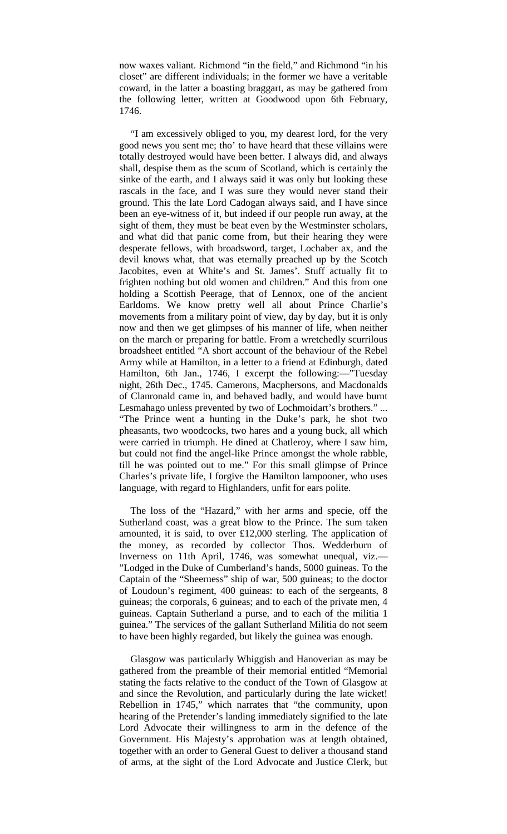now waxes valiant. Richmond "in the field," and Richmond "in his closet" are different individuals; in the former we have a veritable coward, in the latter a boasting braggart, as may be gathered from the following letter, written at Goodwood upon 6th February, 1746.

"I am excessively obliged to you, my dearest lord, for the very good news you sent me; tho' to have heard that these villains were totally destroyed would have been better. I always did, and always shall, despise them as the scum of Scotland, which is certainly the sinke of the earth, and I always said it was only but looking these rascals in the face, and I was sure they would never stand their ground. This the late Lord Cadogan always said, and I have since been an eye-witness of it, but indeed if our people run away, at the sight of them, they must be beat even by the Westminster scholars, and what did that panic come from, but their hearing they were desperate fellows, with broadsword, target, Lochaber ax, and the devil knows what, that was eternally preached up by the Scotch Jacobites, even at White's and St. James'. Stuff actually fit to frighten nothing but old women and children." And this from one holding a Scottish Peerage, that of Lennox, one of the ancient Earldoms. We know pretty well all about Prince Charlie's movements from a military point of view, day by day, but it is only now and then we get glimpses of his manner of life, when neither on the march or preparing for battle. From a wretchedly scurrilous broadsheet entitled "A short account of the behaviour of the Rebel Army while at Hamilton, in a letter to a friend at Edinburgh, dated Hamilton, 6th Jan., 1746, I excerpt the following:—"Tuesday night, 26th Dec., 1745. Camerons, Macphersons, and Macdonalds of Clanronald came in, and behaved badly, and would have burnt Lesmahago unless prevented by two of Lochmoidart's brothers." ... "The Prince went a hunting in the Duke's park, he shot two pheasants, two woodcocks, two hares and a young buck, all which were carried in triumph. He dined at Chatleroy, where I saw him, but could not find the angel-like Prince amongst the whole rabble, till he was pointed out to me." For this small glimpse of Prince Charles's private life, I forgive the Hamilton lampooner, who uses language, with regard to Highlanders, unfit for ears polite.

The loss of the "Hazard," with her arms and specie, off the Sutherland coast, was a great blow to the Prince. The sum taken amounted, it is said, to over £12,000 sterling. The application of the money, as recorded by collector Thos. Wedderburn of Inverness on 11th April, 1746, was somewhat unequal, viz.— "Lodged in the Duke of Cumberland's hands, 5000 guineas. To the Captain of the "Sheerness" ship of war, 500 guineas; to the doctor of Loudoun's regiment, 400 guineas: to each of the sergeants, 8 guineas; the corporals, 6 guineas; and to each of the private men, 4 guineas. Captain Sutherland a purse, and to each of the militia 1 guinea." The services of the gallant Sutherland Militia do not seem to have been highly regarded, but likely the guinea was enough.

Glasgow was particularly Whiggish and Hanoverian as may be gathered from the preamble of their memorial entitled "Memorial stating the facts relative to the conduct of the Town of Glasgow at and since the Revolution, and particularly during the late wicket! Rebellion in 1745," which narrates that "the community, upon hearing of the Pretender's landing immediately signified to the late Lord Advocate their willingness to arm in the defence of the Government. His Majesty's approbation was at length obtained, together with an order to General Guest to deliver a thousand stand of arms, at the sight of the Lord Advocate and Justice Clerk, but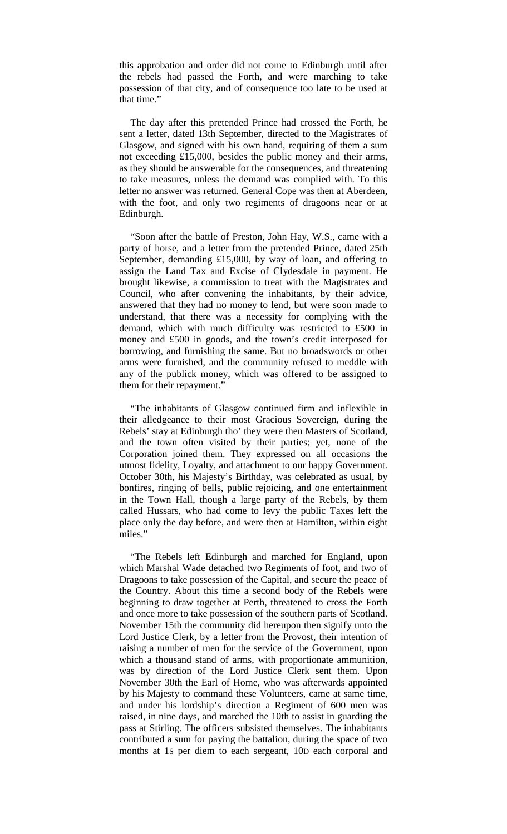this approbation and order did not come to Edinburgh until after the rebels had passed the Forth, and were marching to take possession of that city, and of consequence too late to be used at that time."

The day after this pretended Prince had crossed the Forth, he sent a letter, dated 13th September, directed to the Magistrates of Glasgow, and signed with his own hand, requiring of them a sum not exceeding £15,000, besides the public money and their arms, as they should be answerable for the consequences, and threatening to take measures, unless the demand was complied with. To this letter no answer was returned. General Cope was then at Aberdeen, with the foot, and only two regiments of dragoons near or at Edinburgh.

"Soon after the battle of Preston, John Hay, W.S., came with a party of horse, and a letter from the pretended Prince, dated 25th September, demanding £15,000, by way of loan, and offering to assign the Land Tax and Excise of Clydesdale in payment. He brought likewise, a commission to treat with the Magistrates and Council, who after convening the inhabitants, by their advice, answered that they had no money to lend, but were soon made to understand, that there was a necessity for complying with the demand, which with much difficulty was restricted to £500 in money and £500 in goods, and the town's credit interposed for borrowing, and furnishing the same. But no broadswords or other arms were furnished, and the community refused to meddle with any of the publick money, which was offered to be assigned to them for their repayment."

"The inhabitants of Glasgow continued firm and inflexible in their alledgeance to their most Gracious Sovereign, during the Rebels' stay at Edinburgh tho' they were then Masters of Scotland, and the town often visited by their parties; yet, none of the Corporation joined them. They expressed on all occasions the utmost fidelity, Loyalty, and attachment to our happy Government. October 30th, his Majesty's Birthday, was celebrated as usual, by bonfires, ringing of bells, public rejoicing, and one entertainment in the Town Hall, though a large party of the Rebels, by them called Hussars, who had come to levy the public Taxes left the place only the day before, and were then at Hamilton, within eight miles."

"The Rebels left Edinburgh and marched for England, upon which Marshal Wade detached two Regiments of foot, and two of Dragoons to take possession of the Capital, and secure the peace of the Country. About this time a second body of the Rebels were beginning to draw together at Perth, threatened to cross the Forth and once more to take possession of the southern parts of Scotland. November 15th the community did hereupon then signify unto the Lord Justice Clerk, by a letter from the Provost, their intention of raising a number of men for the service of the Government, upon which a thousand stand of arms, with proportionate ammunition, was by direction of the Lord Justice Clerk sent them. Upon November 30th the Earl of Home, who was afterwards appointed by his Majesty to command these Volunteers, came at same time, and under his lordship's direction a Regiment of 600 men was raised, in nine days, and marched the 10th to assist in guarding the pass at Stirling. The officers subsisted themselves. The inhabitants contributed a sum for paying the battalion, during the space of two months at 1S per diem to each sergeant, 10D each corporal and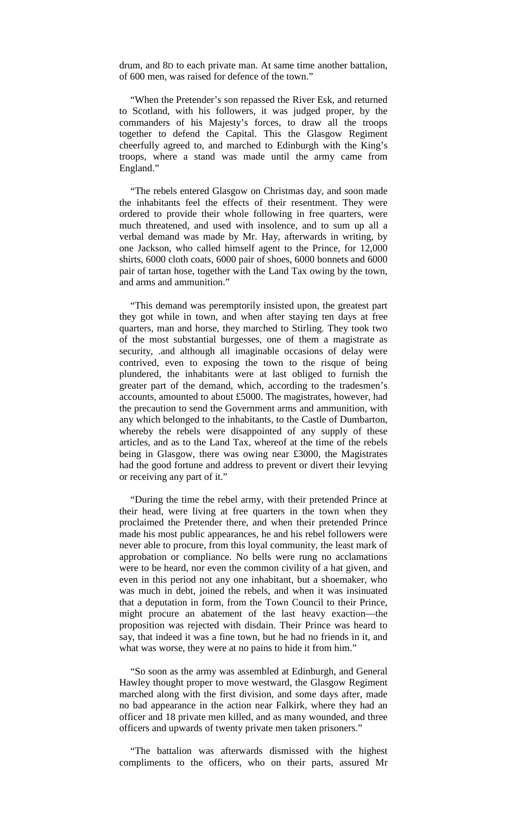drum, and 8D to each private man. At same time another battalion, of 600 men, was raised for defence of the town."

"When the Pretender's son repassed the River Esk, and returned to Scotland, with his followers, it was judged proper, by the commanders of his Majesty's forces, to draw all the troops together to defend the Capital. This the Glasgow Regiment cheerfully agreed to, and marched to Edinburgh with the King's troops, where a stand was made until the army came from England."

"The rebels entered Glasgow on Christmas day, and soon made the inhabitants feel the effects of their resentment. They were ordered to provide their whole following in free quarters, were much threatened, and used with insolence, and to sum up all a verbal demand was made by Mr. Hay, afterwards in writing, by one Jackson, who called himself agent to the Prince, for 12,000 shirts, 6000 cloth coats, 6000 pair of shoes, 6000 bonnets and 6000 pair of tartan hose, together with the Land Tax owing by the town, and arms and ammunition."

"This demand was peremptorily insisted upon, the greatest part they got while in town, and when after staying ten days at free quarters, man and horse, they marched to Stirling. They took two of the most substantial burgesses, one of them a magistrate as security, .and although all imaginable occasions of delay were contrived, even to exposing the town to the risque of being plundered, the inhabitants were at last obliged to furnish the greater part of the demand, which, according to the tradesmen's accounts, amounted to about £5000. The magistrates, however, had the precaution to send the Government arms and ammunition, with any which belonged to the inhabitants, to the Castle of Dumbarton, whereby the rebels were disappointed of any supply of these articles, and as to the Land Tax, whereof at the time of the rebels being in Glasgow, there was owing near £3000, the Magistrates had the good fortune and address to prevent or divert their levying or receiving any part of it."

"During the time the rebel army, with their pretended Prince at their head, were living at free quarters in the town when they proclaimed the Pretender there, and when their pretended Prince made his most public appearances, he and his rebel followers were never able to procure, from this loyal community, the least mark of approbation or compliance. No bells were rung no acclamations were to be heard, nor even the common civility of a hat given, and even in this period not any one inhabitant, but a shoemaker, who was much in debt, joined the rebels, and when it was insinuated that a deputation in form, from the Town Council to their Prince, might procure an abatement of the last heavy exaction—the proposition was rejected with disdain. Their Prince was heard to say, that indeed it was a fine town, but he had no friends in it, and what was worse, they were at no pains to hide it from him."

"So soon as the army was assembled at Edinburgh, and General Hawley thought proper to move westward, the Glasgow Regiment marched along with the first division, and some days after, made no bad appearance in the action near Falkirk, where they had an officer and 18 private men killed, and as many wounded, and three officers and upwards of twenty private men taken prisoners."

"The battalion was afterwards dismissed with the highest compliments to the officers, who on their parts, assured Mr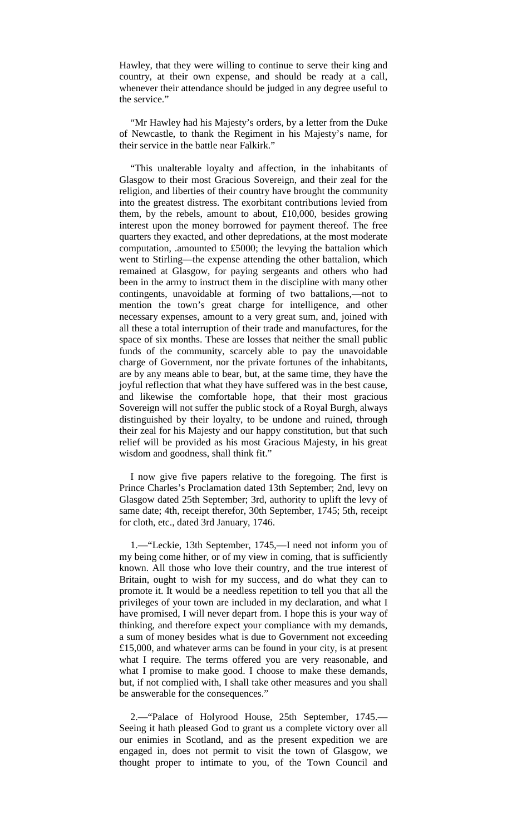Hawley, that they were willing to continue to serve their king and country, at their own expense, and should be ready at a call, whenever their attendance should be judged in any degree useful to the service."

"Mr Hawley had his Majesty's orders, by a letter from the Duke of Newcastle, to thank the Regiment in his Majesty's name, for their service in the battle near Falkirk."

"This unalterable loyalty and affection, in the inhabitants of Glasgow to their most Gracious Sovereign, and their zeal for the religion, and liberties of their country have brought the community into the greatest distress. The exorbitant contributions levied from them, by the rebels, amount to about, £10,000, besides growing interest upon the money borrowed for payment thereof. The free quarters they exacted, and other depredations, at the most moderate computation, .amounted to £5000; the levying the battalion which went to Stirling—the expense attending the other battalion, which remained at Glasgow, for paying sergeants and others who had been in the army to instruct them in the discipline with many other contingents, unavoidable at forming of two battalions,—not to mention the town's great charge for intelligence, and other necessary expenses, amount to a very great sum, and, joined with all these a total interruption of their trade and manufactures, for the space of six months. These are losses that neither the small public funds of the community, scarcely able to pay the unavoidable charge of Government, nor the private fortunes of the inhabitants, are by any means able to bear, but, at the same time, they have the joyful reflection that what they have suffered was in the best cause, and likewise the comfortable hope, that their most gracious Sovereign will not suffer the public stock of a Royal Burgh, always distinguished by their loyalty, to be undone and ruined, through their zeal for his Majesty and our happy constitution, but that such relief will be provided as his most Gracious Majesty, in his great wisdom and goodness, shall think fit."

I now give five papers relative to the foregoing. The first is Prince Charles's Proclamation dated 13th September; 2nd, levy on Glasgow dated 25th September; 3rd, authority to uplift the levy of same date; 4th, receipt therefor, 30th September, 1745; 5th, receipt for cloth, etc., dated 3rd January, 1746.

1.—"Leckie, 13th September, 1745,—I need not inform you of my being come hither, or of my view in coming, that is sufficiently known. All those who love their country, and the true interest of Britain, ought to wish for my success, and do what they can to promote it. It would be a needless repetition to tell you that all the privileges of your town are included in my declaration, and what I have promised, I will never depart from. I hope this is your way of thinking, and therefore expect your compliance with my demands, a sum of money besides what is due to Government not exceeding £15,000, and whatever arms can be found in your city, is at present what I require. The terms offered you are very reasonable, and what I promise to make good. I choose to make these demands, but, if not complied with, I shall take other measures and you shall be answerable for the consequences."

2.—"Palace of Holyrood House, 25th September, 1745.— Seeing it hath pleased God to grant us a complete victory over all our enimies in Scotland, and as the present expedition we are engaged in, does not permit to visit the town of Glasgow, we thought proper to intimate to you, of the Town Council and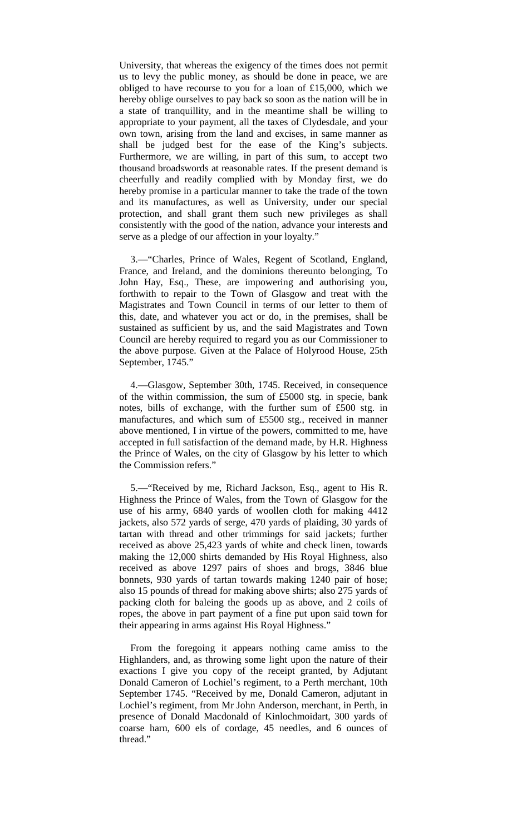University, that whereas the exigency of the times does not permit us to levy the public money, as should be done in peace, we are obliged to have recourse to you for a loan of £15,000, which we hereby oblige ourselves to pay back so soon as the nation will be in a state of tranquillity, and in the meantime shall be willing to appropriate to your payment, all the taxes of Clydesdale, and your own town, arising from the land and excises, in same manner as shall be judged best for the ease of the King's subjects. Furthermore, we are willing, in part of this sum, to accept two thousand broadswords at reasonable rates. If the present demand is cheerfully and readily complied with by Monday first, we do hereby promise in a particular manner to take the trade of the town and its manufactures, as well as University, under our special protection, and shall grant them such new privileges as shall consistently with the good of the nation, advance your interests and serve as a pledge of our affection in your loyalty."

3.—"Charles, Prince of Wales, Regent of Scotland, England, France, and Ireland, and the dominions thereunto belonging, To John Hay, Esq., These, are impowering and authorising you, forthwith to repair to the Town of Glasgow and treat with the Magistrates and Town Council in terms of our letter to them of this, date, and whatever you act or do, in the premises, shall be sustained as sufficient by us, and the said Magistrates and Town Council are hereby required to regard you as our Commissioner to the above purpose. Given at the Palace of Holyrood House, 25th September, 1745."

4.—Glasgow, September 30th, 1745. Received, in consequence of the within commission, the sum of £5000 stg. in specie, bank notes, bills of exchange, with the further sum of £500 stg. in manufactures, and which sum of £5500 stg., received in manner above mentioned, I in virtue of the powers, committed to me, have accepted in full satisfaction of the demand made, by H.R. Highness the Prince of Wales, on the city of Glasgow by his letter to which the Commission refers."

5.—"Received by me, Richard Jackson, Esq., agent to His R. Highness the Prince of Wales, from the Town of Glasgow for the use of his army, 6840 yards of woollen cloth for making 4412 jackets, also 572 yards of serge, 470 yards of plaiding, 30 yards of tartan with thread and other trimmings for said jackets; further received as above 25,423 yards of white and check linen, towards making the 12,000 shirts demanded by His Royal Highness, also received as above 1297 pairs of shoes and brogs, 3846 blue bonnets, 930 yards of tartan towards making 1240 pair of hose; also 15 pounds of thread for making above shirts; also 275 yards of packing cloth for baleing the goods up as above, and 2 coils of ropes, the above in part payment of a fine put upon said town for their appearing in arms against His Royal Highness."

From the foregoing it appears nothing came amiss to the Highlanders, and, as throwing some light upon the nature of their exactions I give you copy of the receipt granted, by Adjutant Donald Cameron of Lochiel's regiment, to a Perth merchant, 10th September 1745. "Received by me, Donald Cameron, adjutant in Lochiel's regiment, from Mr John Anderson, merchant, in Perth, in presence of Donald Macdonald of Kinlochmoidart, 300 yards of coarse harn, 600 els of cordage, 45 needles, and 6 ounces of thread.'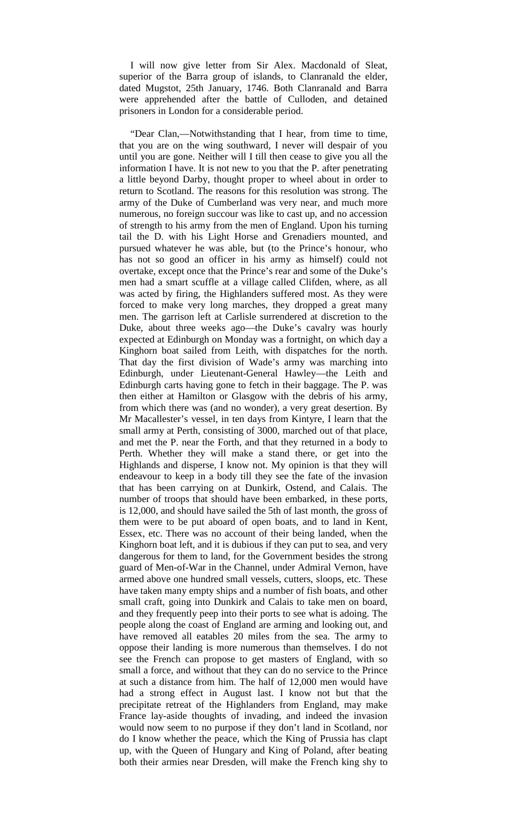I will now give letter from Sir Alex. Macdonald of Sleat, superior of the Barra group of islands, to Clanranald the elder, dated Mugstot, 25th January, 1746. Both Clanranald and Barra were apprehended after the battle of Culloden, and detained prisoners in London for a considerable period.

"Dear Clan,—Notwithstanding that I hear, from time to time, that you are on the wing southward, I never will despair of you until you are gone. Neither will I till then cease to give you all the information I have. It is not new to you that the P. after penetrating a little beyond Darby, thought proper to wheel about in order to return to Scotland. The reasons for this resolution was strong. The army of the Duke of Cumberland was very near, and much more numerous, no foreign succour was like to cast up, and no accession of strength to his army from the men of England. Upon his turning tail the D. with his Light Horse and Grenadiers mounted, and pursued whatever he was able, but (to the Prince's honour, who has not so good an officer in his army as himself) could not overtake, except once that the Prince's rear and some of the Duke's men had a smart scuffle at a village called Clifden, where, as all was acted by firing, the Highlanders suffered most. As they were forced to make very long marches, they dropped a great many men. The garrison left at Carlisle surrendered at discretion to the Duke, about three weeks ago—the Duke's cavalry was hourly expected at Edinburgh on Monday was a fortnight, on which day a Kinghorn boat sailed from Leith, with dispatches for the north. That day the first division of Wade's army was marching into Edinburgh, under Lieutenant-General Hawley—the Leith and Edinburgh carts having gone to fetch in their baggage. The P. was then either at Hamilton or Glasgow with the debris of his army, from which there was (and no wonder), a very great desertion. By Mr Macallester's vessel, in ten days from Kintyre, I learn that the small army at Perth, consisting of 3000, marched out of that place, and met the P. near the Forth, and that they returned in a body to Perth. Whether they will make a stand there, or get into the Highlands and disperse, I know not. My opinion is that they will endeavour to keep in a body till they see the fate of the invasion that has been carrying on at Dunkirk, Ostend, and Calais. The number of troops that should have been embarked, in these ports, is 12,000, and should have sailed the 5th of last month, the gross of them were to be put aboard of open boats, and to land in Kent, Essex, etc. There was no account of their being landed, when the Kinghorn boat left, and it is dubious if they can put to sea, and very dangerous for them to land, for the Government besides the strong guard of Men-of-War in the Channel, under Admiral Vernon, have armed above one hundred small vessels, cutters, sloops, etc. These have taken many empty ships and a number of fish boats, and other small craft, going into Dunkirk and Calais to take men on board, and they frequently peep into their ports to see what is adoing. The people along the coast of England are arming and looking out, and have removed all eatables 20 miles from the sea. The army to oppose their landing is more numerous than themselves. I do not see the French can propose to get masters of England, with so small a force, and without that they can do no service to the Prince at such a distance from him. The half of 12,000 men would have had a strong effect in August last. I know not but that the precipitate retreat of the Highlanders from England, may make France lay-aside thoughts of invading, and indeed the invasion would now seem to no purpose if they don't land in Scotland, nor do I know whether the peace, which the King of Prussia has clapt up, with the Queen of Hungary and King of Poland, after beating both their armies near Dresden, will make the French king shy to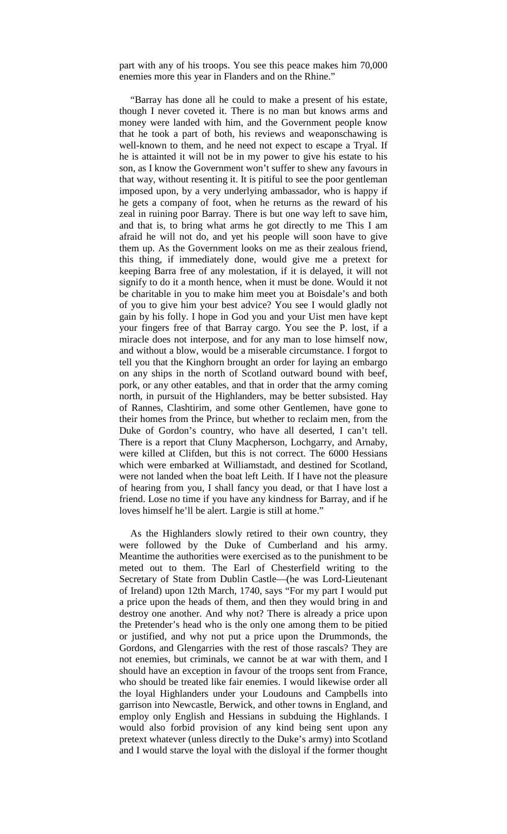part with any of his troops. You see this peace makes him 70,000 enemies more this year in Flanders and on the Rhine."

"Barray has done all he could to make a present of his estate, though I never coveted it. There is no man but knows arms and money were landed with him, and the Government people know that he took a part of both, his reviews and weaponschawing is well-known to them, and he need not expect to escape a Tryal. If he is attainted it will not be in my power to give his estate to his son, as I know the Government won't suffer to shew any favours in that way, without resenting it. It is pitiful to see the poor gentleman imposed upon, by a very underlying ambassador, who is happy if he gets a company of foot, when he returns as the reward of his zeal in ruining poor Barray. There is but one way left to save him, and that is, to bring what arms he got directly to me This I am afraid he will not do, and yet his people will soon have to give them up. As the Government looks on me as their zealous friend, this thing, if immediately done, would give me a pretext for keeping Barra free of any molestation, if it is delayed, it will not signify to do it a month hence, when it must be done. Would it not be charitable in you to make him meet you at Boisdale's and both of you to give him your best advice? You see I would gladly not gain by his folly. I hope in God you and your Uist men have kept your fingers free of that Barray cargo. You see the P. lost, if a miracle does not interpose, and for any man to lose himself now, and without a blow, would be a miserable circumstance. I forgot to tell you that the Kinghorn brought an order for laying an embargo on any ships in the north of Scotland outward bound with beef, pork, or any other eatables, and that in order that the army coming north, in pursuit of the Highlanders, may be better subsisted. Hay of Rannes, Clashtirim, and some other Gentlemen, have gone to their homes from the Prince, but whether to reclaim men, from the Duke of Gordon's country, who have all deserted, I can't tell. There is a report that Cluny Macpherson, Lochgarry, and Arnaby, were killed at Clifden, but this is not correct. The 6000 Hessians which were embarked at Williamstadt, and destined for Scotland, were not landed when the boat left Leith. If I have not the pleasure of hearing from you, I shall fancy you dead, or that I have lost a friend. Lose no time if you have any kindness for Barray, and if he loves himself he'll be alert. Largie is still at home."

As the Highlanders slowly retired to their own country, they were followed by the Duke of Cumberland and his army. Meantime the authorities were exercised as to the punishment to be meted out to them. The Earl of Chesterfield writing to the Secretary of State from Dublin Castle—(he was Lord-Lieutenant of Ireland) upon 12th March, 1740, says "For my part I would put a price upon the heads of them, and then they would bring in and destroy one another. And why not? There is already a price upon the Pretender's head who is the only one among them to be pitied or justified, and why not put a price upon the Drummonds, the Gordons, and Glengarries with the rest of those rascals? They are not enemies, but criminals, we cannot be at war with them, and I should have an exception in favour of the troops sent from France, who should be treated like fair enemies. I would likewise order all the loyal Highlanders under your Loudouns and Campbells into garrison into Newcastle, Berwick, and other towns in England, and employ only English and Hessians in subduing the Highlands. I would also forbid provision of any kind being sent upon any pretext whatever (unless directly to the Duke's army) into Scotland and I would starve the loyal with the disloyal if the former thought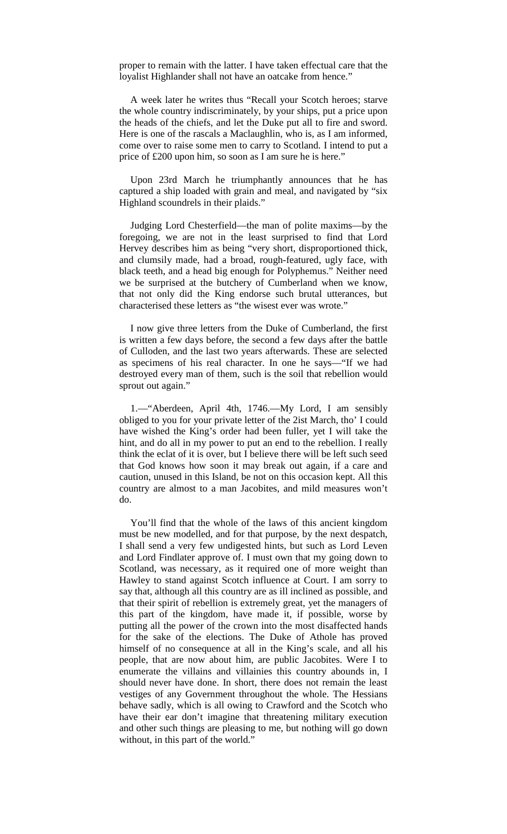proper to remain with the latter. I have taken effectual care that the loyalist Highlander shall not have an oatcake from hence."

A week later he writes thus "Recall your Scotch heroes; starve the whole country indiscriminately, by your ships, put a price upon the heads of the chiefs, and let the Duke put all to fire and sword. Here is one of the rascals a Maclaughlin, who is, as I am informed, come over to raise some men to carry to Scotland. I intend to put a price of £200 upon him, so soon as I am sure he is here."

Upon 23rd March he triumphantly announces that he has captured a ship loaded with grain and meal, and navigated by "six Highland scoundrels in their plaids."

Judging Lord Chesterfield—the man of polite maxims—by the foregoing, we are not in the least surprised to find that Lord Hervey describes him as being "very short, disproportioned thick, and clumsily made, had a broad, rough-featured, ugly face, with black teeth, and a head big enough for Polyphemus." Neither need we be surprised at the butchery of Cumberland when we know, that not only did the King endorse such brutal utterances, but characterised these letters as "the wisest ever was wrote."

I now give three letters from the Duke of Cumberland, the first is written a few days before, the second a few days after the battle of Culloden, and the last two years afterwards. These are selected as specimens of his real character. In one he says—"If we had destroyed every man of them, such is the soil that rebellion would sprout out again."

1.—"Aberdeen, April 4th, 1746.—My Lord, I am sensibly obliged to you for your private letter of the 2ist March, tho' I could have wished the King's order had been fuller, yet I will take the hint, and do all in my power to put an end to the rebellion. I really think the eclat of it is over, but I believe there will be left such seed that God knows how soon it may break out again, if a care and caution, unused in this Island, be not on this occasion kept. All this country are almost to a man Jacobites, and mild measures won't do.

You'll find that the whole of the laws of this ancient kingdom must be new modelled, and for that purpose, by the next despatch, I shall send a very few undigested hints, but such as Lord Leven and Lord Findlater approve of. I must own that my going down to Scotland, was necessary, as it required one of more weight than Hawley to stand against Scotch influence at Court. I am sorry to say that, although all this country are as ill inclined as possible, and that their spirit of rebellion is extremely great, yet the managers of this part of the kingdom, have made it, if possible, worse by putting all the power of the crown into the most disaffected hands for the sake of the elections. The Duke of Athole has proved himself of no consequence at all in the King's scale, and all his people, that are now about him, are public Jacobites. Were I to enumerate the villains and villainies this country abounds in, I should never have done. In short, there does not remain the least vestiges of any Government throughout the whole. The Hessians behave sadly, which is all owing to Crawford and the Scotch who have their ear don't imagine that threatening military execution and other such things are pleasing to me, but nothing will go down without, in this part of the world."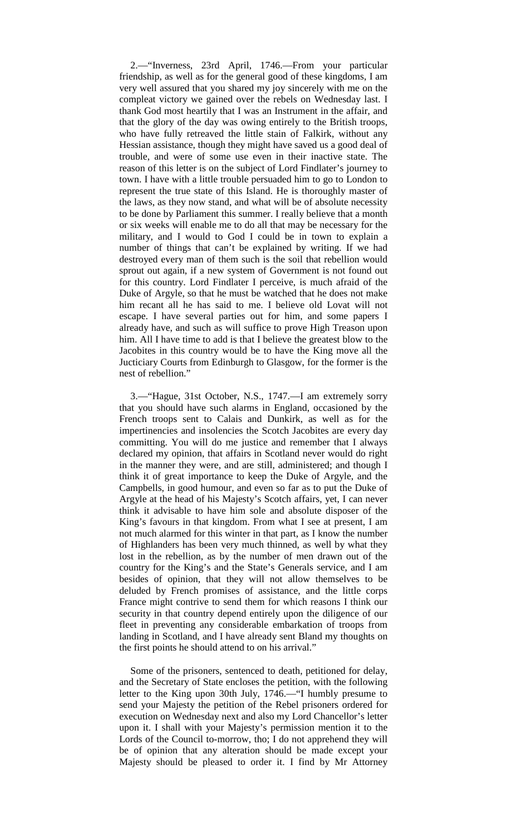2.—"Inverness, 23rd April, 1746.—From your particular friendship, as well as for the general good of these kingdoms, I am very well assured that you shared my joy sincerely with me on the compleat victory we gained over the rebels on Wednesday last. I thank God most heartily that I was an Instrument in the affair, and that the glory of the day was owing entirely to the British troops, who have fully retreaved the little stain of Falkirk, without any Hessian assistance, though they might have saved us a good deal of trouble, and were of some use even in their inactive state. The reason of this letter is on the subject of Lord Findlater's journey to town. I have with a little trouble persuaded him to go to London to represent the true state of this Island. He is thoroughly master of the laws, as they now stand, and what will be of absolute necessity to be done by Parliament this summer. I really believe that a month or six weeks will enable me to do all that may be necessary for the military, and I would to God I could be in town to explain a number of things that can't be explained by writing. If we had destroyed every man of them such is the soil that rebellion would sprout out again, if a new system of Government is not found out for this country. Lord Findlater I perceive, is much afraid of the Duke of Argyle, so that he must be watched that he does not make him recant all he has said to me. I believe old Lovat will not escape. I have several parties out for him, and some papers I already have, and such as will suffice to prove High Treason upon him. All I have time to add is that I believe the greatest blow to the Jacobites in this country would be to have the King move all the Jucticiary Courts from Edinburgh to Glasgow, for the former is the nest of rebellion."

3.—"Hague, 31st October, N.S., 1747.—I am extremely sorry that you should have such alarms in England, occasioned by the French troops sent to Calais and Dunkirk, as well as for the impertinencies and insolencies the Scotch Jacobites are every day committing. You will do me justice and remember that I always declared my opinion, that affairs in Scotland never would do right in the manner they were, and are still, administered; and though I think it of great importance to keep the Duke of Argyle, and the Campbells, in good humour, and even so far as to put the Duke of Argyle at the head of his Majesty's Scotch affairs, yet, I can never think it advisable to have him sole and absolute disposer of the King's favours in that kingdom. From what I see at present, I am not much alarmed for this winter in that part, as I know the number of Highlanders has been very much thinned, as well by what they lost in the rebellion, as by the number of men drawn out of the country for the King's and the State's Generals service, and I am besides of opinion, that they will not allow themselves to be deluded by French promises of assistance, and the little corps France might contrive to send them for which reasons I think our security in that country depend entirely upon the diligence of our fleet in preventing any considerable embarkation of troops from landing in Scotland, and I have already sent Bland my thoughts on the first points he should attend to on his arrival."

Some of the prisoners, sentenced to death, petitioned for delay, and the Secretary of State encloses the petition, with the following letter to the King upon 30th July, 1746.—"I humbly presume to send your Majesty the petition of the Rebel prisoners ordered for execution on Wednesday next and also my Lord Chancellor's letter upon it. I shall with your Majesty's permission mention it to the Lords of the Council to-morrow, tho; I do not apprehend they will be of opinion that any alteration should be made except your Majesty should be pleased to order it. I find by Mr Attorney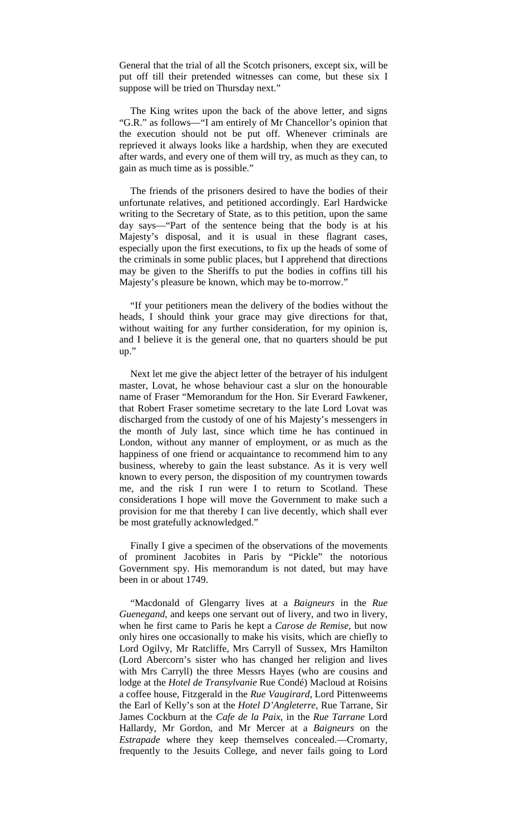General that the trial of all the Scotch prisoners, except six, will be put off till their pretended witnesses can come, but these six I suppose will be tried on Thursday next."

The King writes upon the back of the above letter, and signs "G.R." as follows—"I am entirely of Mr Chancellor's opinion that the execution should not be put off. Whenever criminals are reprieved it always looks like a hardship, when they are executed after wards, and every one of them will try, as much as they can, to gain as much time as is possible."

The friends of the prisoners desired to have the bodies of their unfortunate relatives, and petitioned accordingly. Earl Hardwicke writing to the Secretary of State, as to this petition, upon the same day says—"Part of the sentence being that the body is at his Majesty's disposal, and it is usual in these flagrant cases, especially upon the first executions, to fix up the heads of some of the criminals in some public places, but I apprehend that directions may be given to the Sheriffs to put the bodies in coffins till his Majesty's pleasure be known, which may be to-morrow."

"If your petitioners mean the delivery of the bodies without the heads, I should think your grace may give directions for that, without waiting for any further consideration, for my opinion is, and I believe it is the general one, that no quarters should be put up."

Next let me give the abject letter of the betrayer of his indulgent master, Lovat, he whose behaviour cast a slur on the honourable name of Fraser "Memorandum for the Hon. Sir Everard Fawkener, that Robert Fraser sometime secretary to the late Lord Lovat was discharged from the custody of one of his Majesty's messengers in the month of July last, since which time he has continued in London, without any manner of employment, or as much as the happiness of one friend or acquaintance to recommend him to any business, whereby to gain the least substance. As it is very well known to every person, the disposition of my countrymen towards me, and the risk I run were I to return to Scotland. These considerations I hope will move the Government to make such a provision for me that thereby I can live decently, which shall ever be most gratefully acknowledged."

Finally I give a specimen of the observations of the movements of prominent Jacobites in Paris by "Pickle" the notorious Government spy. His memorandum is not dated, but may have been in or about 1749.

"Macdonald of Glengarry lives at a *Baigneurs* in the *Rue Guenegand*, and keeps one servant out of livery, and two in livery, when he first came to Paris he kept a *Carose de Remise*, but now only hires one occasionally to make his visits, which are chiefly to Lord Ogilvy, Mr Ratcliffe, Mrs Carryll of Sussex, Mrs Hamilton (Lord Abercorn's sister who has changed her religion and lives with Mrs Carryll) the three Messrs Hayes (who are cousins and lodge at the *Hotel de Transylvanie* Rue Condé) Macloud at Roisins a coffee house, Fitzgerald in the *Rue Vaugirard*, Lord Pittenweems the Earl of Kelly's son at the *Hotel D'Angleterre*, Rue Tarrane, Sir James Cockburn at the *Cafe de la Paix*, in the *Rue Tarrane* Lord Hallardy, Mr Gordon, and Mr Mercer at a *Baigneurs* on the *Estrapade* where they keep themselves concealed.—Cromarty, frequently to the Jesuits College, and never fails going to Lord